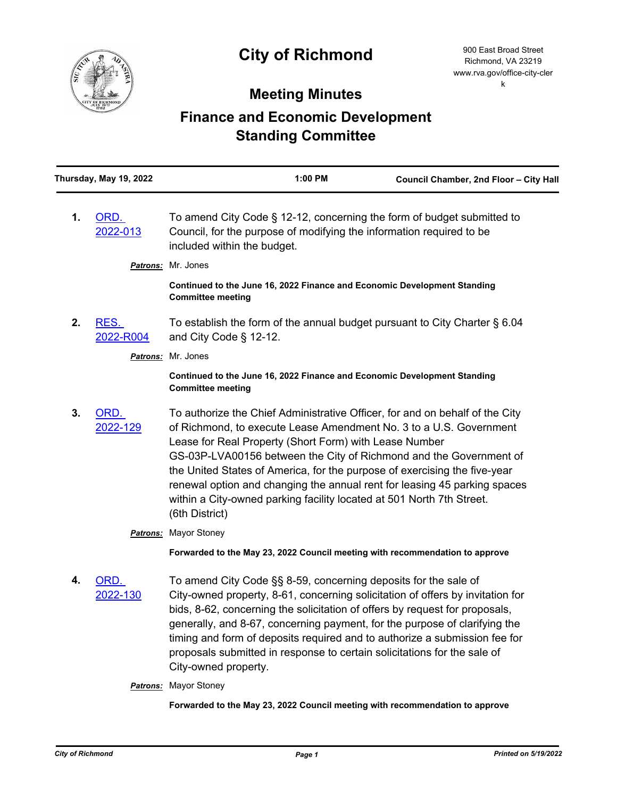

## **Meeting Minutes**

## **Finance and Economic Development Standing Committee**

|    | Thursday, May 19, 2022       | 1:00 PM                                                                                                                                                                                                                                                                                                                                                                                                                                                                                                                                 | Council Chamber, 2nd Floor - City Hall |
|----|------------------------------|-----------------------------------------------------------------------------------------------------------------------------------------------------------------------------------------------------------------------------------------------------------------------------------------------------------------------------------------------------------------------------------------------------------------------------------------------------------------------------------------------------------------------------------------|----------------------------------------|
| 1. | ORD.<br>2022-013             | To amend City Code § 12-12, concerning the form of budget submitted to<br>Council, for the purpose of modifying the information required to be<br>included within the budget.                                                                                                                                                                                                                                                                                                                                                           |                                        |
|    | <b>Patrons:</b>              | Mr. Jones                                                                                                                                                                                                                                                                                                                                                                                                                                                                                                                               |                                        |
|    |                              | Continued to the June 16, 2022 Finance and Economic Development Standing<br><b>Committee meeting</b>                                                                                                                                                                                                                                                                                                                                                                                                                                    |                                        |
| 2. | RES.<br>2022-R004            | To establish the form of the annual budget pursuant to City Charter § 6.04<br>and City Code $\S$ 12-12.                                                                                                                                                                                                                                                                                                                                                                                                                                 |                                        |
|    | Mr. Jones<br><b>Patrons:</b> |                                                                                                                                                                                                                                                                                                                                                                                                                                                                                                                                         |                                        |
|    |                              | Continued to the June 16, 2022 Finance and Economic Development Standing<br><b>Committee meeting</b>                                                                                                                                                                                                                                                                                                                                                                                                                                    |                                        |
| 3. | ORD.<br>2022-129             | To authorize the Chief Administrative Officer, for and on behalf of the City<br>of Richmond, to execute Lease Amendment No. 3 to a U.S. Government<br>Lease for Real Property (Short Form) with Lease Number<br>GS-03P-LVA00156 between the City of Richmond and the Government of<br>the United States of America, for the purpose of exercising the five-year<br>renewal option and changing the annual rent for leasing 45 parking spaces<br>within a City-owned parking facility located at 501 North 7th Street.<br>(6th District) |                                        |
|    | <b>Patrons:</b>              | <b>Mayor Stoney</b>                                                                                                                                                                                                                                                                                                                                                                                                                                                                                                                     |                                        |
|    |                              | Forwarded to the May 23, 2022 Council meeting with recommendation to approve                                                                                                                                                                                                                                                                                                                                                                                                                                                            |                                        |
| 4. | ORD.<br>2022-130             | To amend City Code §§ 8-59, concerning deposits for the sale of<br>City-owned property, 8-61, concerning solicitation of offers by invitation for<br>bids, 8-62, concerning the solicitation of offers by request for proposals,<br>generally, and 8-67, concerning payment, for the purpose of clarifying the<br>timing and form of deposits required and to authorize a submission fee for<br>proposals submitted in response to certain solicitations for the sale of<br>City-owned property.                                        |                                        |
|    |                              | <b>Patrons:</b> Mayor Stoney                                                                                                                                                                                                                                                                                                                                                                                                                                                                                                            |                                        |
|    |                              | Forwarded to the May 23, 2022 Council meeting with recommendation to approve                                                                                                                                                                                                                                                                                                                                                                                                                                                            |                                        |